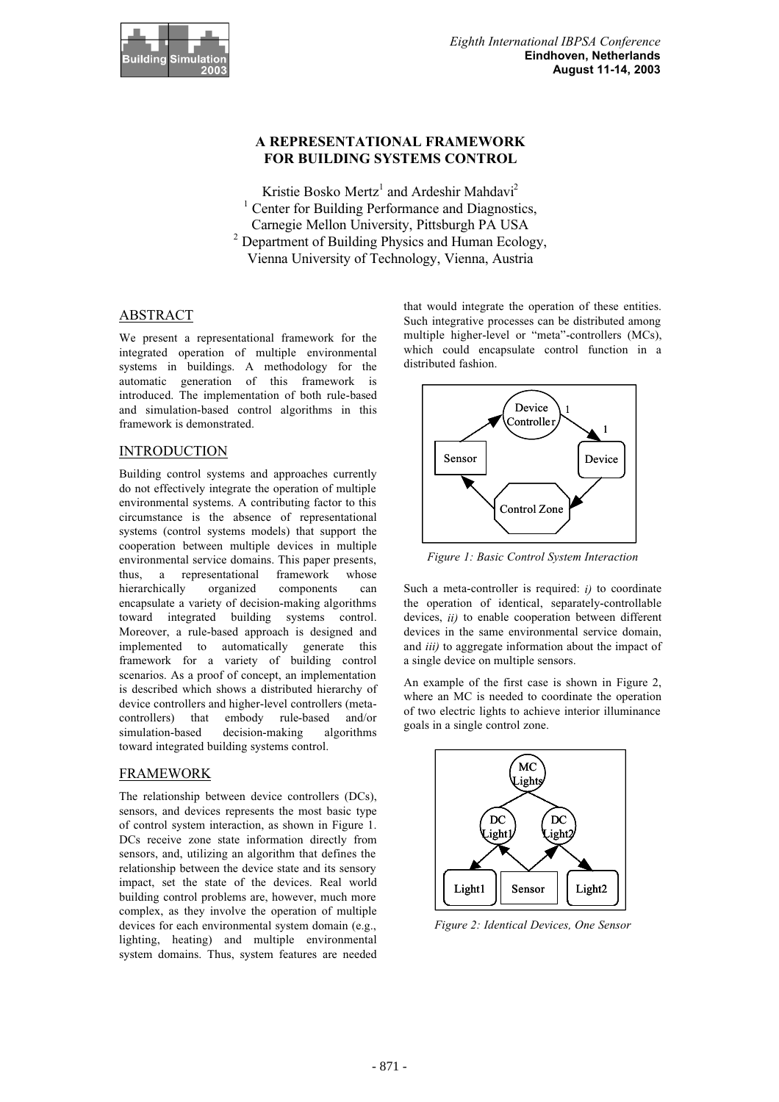

# **A REPRESENTATIONAL FRAMEWORK FOR BUILDING SYSTEMS CONTROL**

Kristie Bosko Mertz<sup>1</sup> and Ardeshir Mahdavi<sup>2</sup> <sup>1</sup> Center for Building Performance and Diagnostics, Carnegie Mellon University, Pittsburgh PA USA 2 Department of Building Physics and Human Ecology, Vienna University of Technology, Vienna, Austria

# ABSTRACT

We present a representational framework for the integrated operation of multiple environmental systems in buildings. A methodology for the automatic generation of this framework is introduced. The implementation of both rule-based and simulation-based control algorithms in this framework is demonstrated.

# INTRODUCTION

Building control systems and approaches currently do not effectively integrate the operation of multiple environmental systems. A contributing factor to this circumstance is the absence of representational systems (control systems models) that support the cooperation between multiple devices in multiple environmental service domains. This paper presents, thus, a representational framework whose hierarchically organized components can encapsulate a variety of decision-making algorithms toward integrated building systems control. Moreover, a rule-based approach is designed and implemented to automatically generate this framework for a variety of building control scenarios. As a proof of concept, an implementation is described which shows a distributed hierarchy of device controllers and higher-level controllers (metacontrollers) that embody rule-based and/or simulation-based decision-making algorithms toward integrated building systems control.

## FRAMEWORK

The relationship between device controllers (DCs), sensors, and devices represents the most basic type of control system interaction, as shown in Figure 1. DCs receive zone state information directly from sensors, and, utilizing an algorithm that defines the relationship between the device state and its sensory impact, set the state of the devices. Real world building control problems are, however, much more complex, as they involve the operation of multiple devices for each environmental system domain (e.g., lighting, heating) and multiple environmental system domains. Thus, system features are needed

that would integrate the operation of these entities. Such integrative processes can be distributed among multiple higher-level or "meta"-controllers (MCs), which could encapsulate control function in a distributed fashion.



*Figure 1: Basic Control System Interaction*

Such a meta-controller is required: *i)* to coordinate the operation of identical, separately-controllable devices, *ii)* to enable cooperation between different devices in the same environmental service domain, and *iii)* to aggregate information about the impact of a single device on multiple sensors.

An example of the first case is shown in Figure 2, where an MC is needed to coordinate the operation of two electric lights to achieve interior illuminance goals in a single control zone.



*Figure 2: Identical Devices, One Sensor*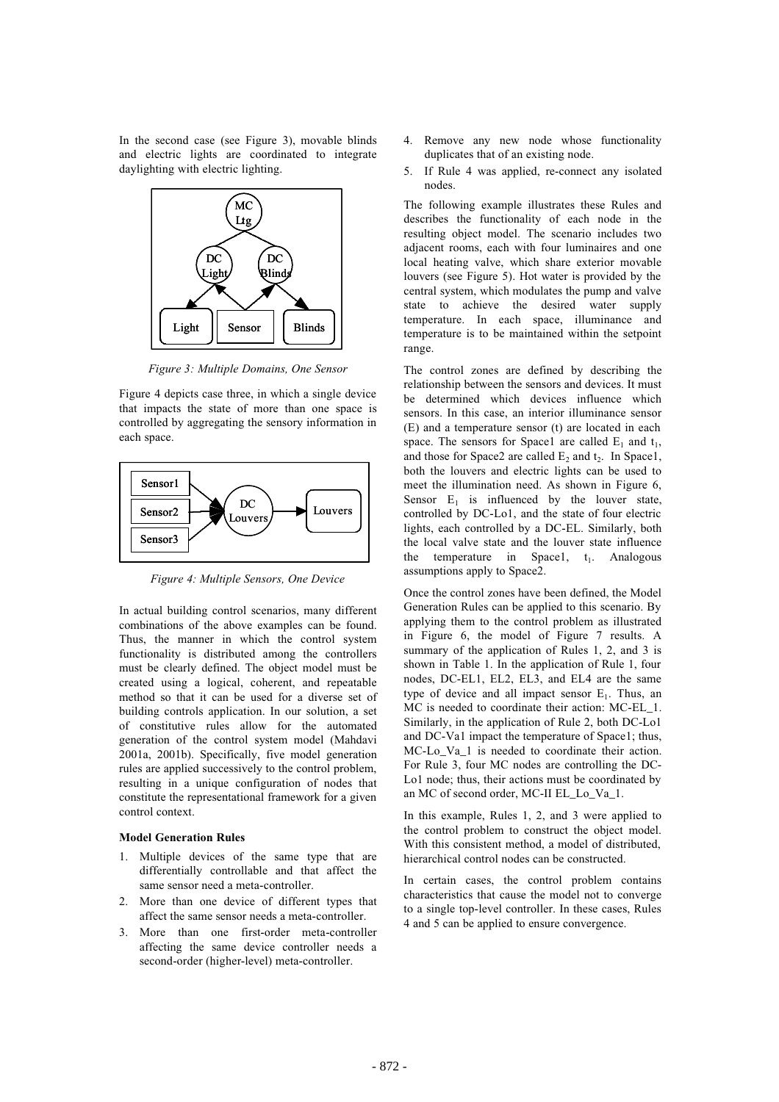In the second case (see Figure 3), movable blinds and electric lights are coordinated to integrate daylighting with electric lighting.



*Figure 3: Multiple Domains, One Sensor*

Figure 4 depicts case three, in which a single device that impacts the state of more than one space is controlled by aggregating the sensory information in each space.



*Figure 4: Multiple Sensors, One Device*

In actual building control scenarios, many different combinations of the above examples can be found. Thus, the manner in which the control system functionality is distributed among the controllers must be clearly defined. The object model must be created using a logical, coherent, and repeatable method so that it can be used for a diverse set of building controls application. In our solution, a set of constitutive rules allow for the automated generation of the control system model (Mahdavi 2001a, 2001b). Specifically, five model generation rules are applied successively to the control problem, resulting in a unique configuration of nodes that constitute the representational framework for a given control context.

### **Model Generation Rules**

- 1. Multiple devices of the same type that are differentially controllable and that affect the same sensor need a meta-controller.
- 2. More than one device of different types that affect the same sensor needs a meta-controller.
- 3. More than one first-order meta-controller affecting the same device controller needs a second-order (higher-level) meta-controller.
- 4. Remove any new node whose functionality duplicates that of an existing node.
- 5. If Rule 4 was applied, re-connect any isolated nodes.

The following example illustrates these Rules and describes the functionality of each node in the resulting object model. The scenario includes two adjacent rooms, each with four luminaires and one local heating valve, which share exterior movable louvers (see Figure 5). Hot water is provided by the central system, which modulates the pump and valve state to achieve the desired water supply temperature. In each space, illuminance and temperature is to be maintained within the setpoint range.

The control zones are defined by describing the relationship between the sensors and devices. It must be determined which devices influence which sensors. In this case, an interior illuminance sensor (E) and a temperature sensor (t) are located in each space. The sensors for Space1 are called  $E_1$  and  $t_1$ , and those for Space2 are called  $E_2$  and  $t_2$ . In Space1, both the louvers and electric lights can be used to meet the illumination need. As shown in Figure 6, Sensor  $E_1$  is influenced by the louver state, controlled by DC-Lo1, and the state of four electric lights, each controlled by a DC-EL. Similarly, both the local valve state and the louver state influence the temperature in Space1,  $t_1$ . Analogous assumptions apply to Space2.

Once the control zones have been defined, the Model Generation Rules can be applied to this scenario. By applying them to the control problem as illustrated in Figure 6, the model of Figure 7 results. A summary of the application of Rules 1, 2, and 3 is shown in Table 1. In the application of Rule 1, four nodes, DC-EL1, EL2, EL3, and EL4 are the same type of device and all impact sensor  $E_1$ . Thus, an MC is needed to coordinate their action: MC-EL\_1. Similarly, in the application of Rule 2, both DC-Lo1 and DC-Va1 impact the temperature of Space1; thus, MC-Lo\_Va\_1 is needed to coordinate their action. For Rule 3, four MC nodes are controlling the DC-Lo1 node; thus, their actions must be coordinated by an MC of second order, MC-II EL\_Lo\_Va\_1.

In this example, Rules 1, 2, and 3 were applied to the control problem to construct the object model. With this consistent method, a model of distributed, hierarchical control nodes can be constructed.

In certain cases, the control problem contains characteristics that cause the model not to converge to a single top-level controller. In these cases, Rules 4 and 5 can be applied to ensure convergence.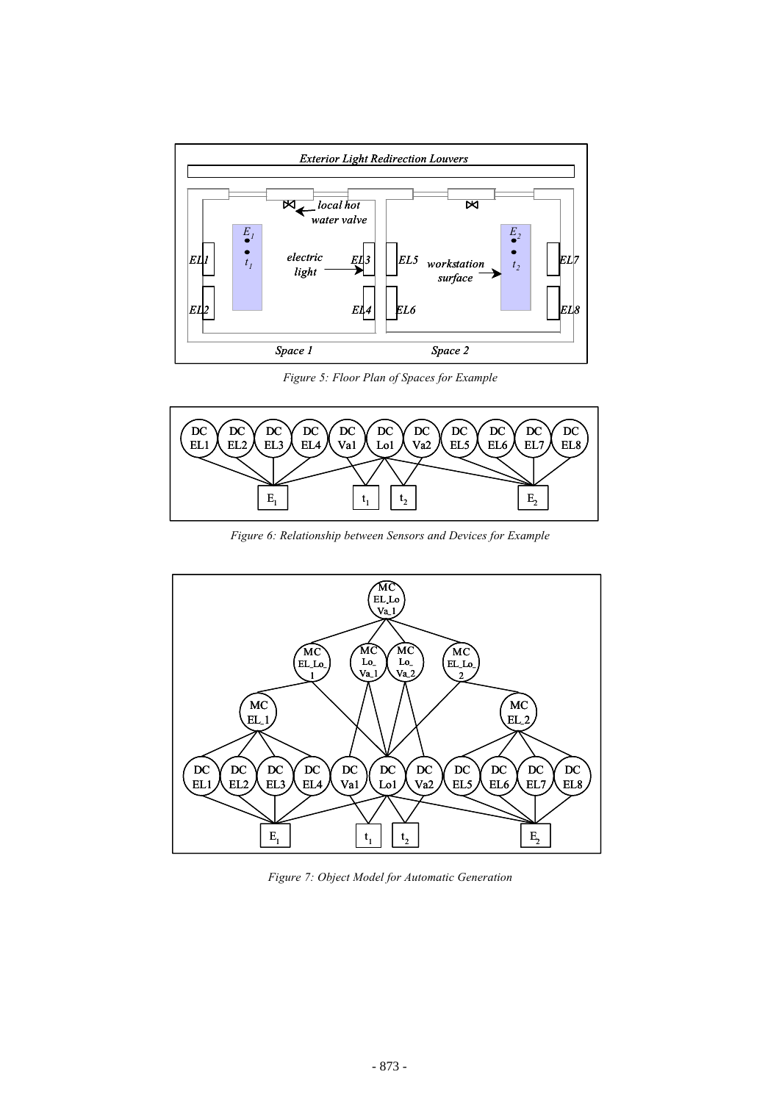

*Figure 5: Floor Plan of Spaces for Example*



*Figure 6: Relationship between Sensors and Devices for Example*



*Figure 7: Object Model for Automatic Generation*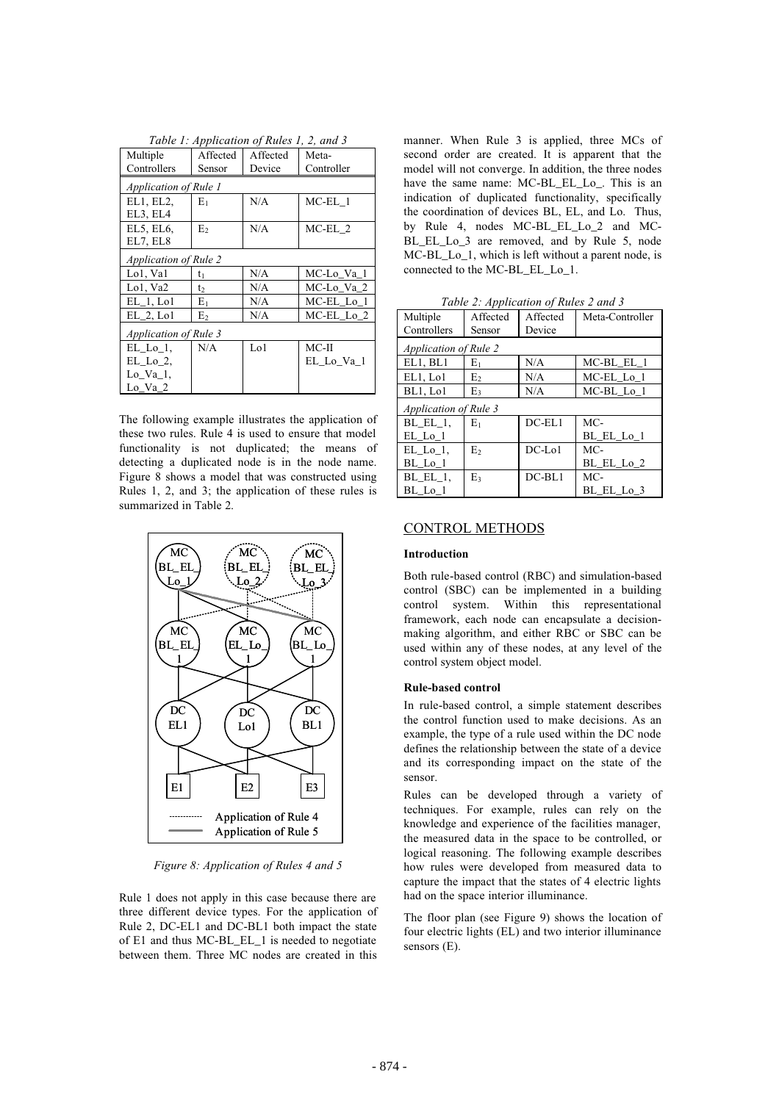|                              | Tuble 1. Application of Rules 1, 2, and 5 |          |            |  |  |  |
|------------------------------|-------------------------------------------|----------|------------|--|--|--|
| Multiple                     | Affected                                  | Affected | Meta-      |  |  |  |
| Controllers                  | Sensor                                    | Device   | Controller |  |  |  |
| Application of Rule 1        |                                           |          |            |  |  |  |
| EL1, EL2,                    | $E_1$                                     | N/A      | $MC-EL_1$  |  |  |  |
| EL3, EL4                     |                                           |          |            |  |  |  |
| EL5, EL6,                    | E                                         | N/A      | MC-EL 2    |  |  |  |
| EL7, EL8                     |                                           |          |            |  |  |  |
| <i>Application of Rule 2</i> |                                           |          |            |  |  |  |
| Lol, Val                     | $t_1$                                     | N/A      | MC-Lo_Va_1 |  |  |  |
| Lo1, Va2                     | t <sub>2</sub>                            | N/A      | MC-Lo_Va_2 |  |  |  |
| $EL_1$ , Lo1                 | $E_1$                                     | N/A      | MC-EL_Lo_1 |  |  |  |
| $EL_2$ , $Lo1$               | E <sub>2</sub>                            | N/A      | MC-EL_Lo_2 |  |  |  |
| <b>Application of Rule 3</b> |                                           |          |            |  |  |  |
| $EL\_Lo\_1$ ,                | N/A                                       | Lo1      | $MC-II$    |  |  |  |
| $EL\_Lo_2$                   |                                           |          | EL_Lo_Va_1 |  |  |  |
| $Lo$ $Va_1$ ,                |                                           |          |            |  |  |  |
| Lo Va 2                      |                                           |          |            |  |  |  |

*Table 1: Application of Rules 1, 2, and 3*

The following example illustrates the application of these two rules. Rule 4 is used to ensure that model functionality is not duplicated; the means of detecting a duplicated node is in the node name. Figure 8 shows a model that was constructed using Rules 1, 2, and 3; the application of these rules is summarized in Table 2.



*Figure 8: Application of Rules 4 and 5*

Rule 1 does not apply in this case because there are three different device types. For the application of Rule 2, DC-EL1 and DC-BL1 both impact the state of E1 and thus MC-BL\_EL\_1 is needed to negotiate between them. Three MC nodes are created in this

manner. When Rule 3 is applied, three MCs of second order are created. It is apparent that the model will not converge. In addition, the three nodes have the same name: MC-BL\_EL\_Lo\_. This is an indication of duplicated functionality, specifically the coordination of devices BL, EL, and Lo. Thus, by Rule 4, nodes MC-BL\_EL\_Lo\_2 and MC-BL\_EL\_Lo\_3 are removed, and by Rule 5, node MC-BL\_Lo\_1, which is left without a parent node, is connected to the MC-BL\_EL\_Lo\_1.

*Table 2: Application of Rules 2 and 3*

| Multiple                     | Affected       | Affected     | Meta-Controller |  |
|------------------------------|----------------|--------------|-----------------|--|
| Controllers                  | Sensor         | Device       |                 |  |
| <b>Application of Rule 2</b> |                |              |                 |  |
| EL1, BL1                     | $E_1$          | N/A          | $MC-BL_EL_1$    |  |
| EL1, Lo1                     | E <sub>2</sub> | N/A          | MC-EL_Lo_1      |  |
| BL1, Lo1                     | E3             | N/A          | MC-BL_Lo_1      |  |
| <b>Application of Rule 3</b> |                |              |                 |  |
| BL EL 1.                     | E1             | $DC-EL1$     | MC-             |  |
| $EL\_Lo\_1$                  |                |              | BL_EL_Lo_1      |  |
| $EL$ $Lo$ $1$ ,              | E,             | $DC$ -Lo $1$ | MC-             |  |
| $BL\_Lo\_1$                  |                |              | BL_EL_Lo_2      |  |
| BL EL 1.                     | $E_3$          | $DC-BL1$     | MC-             |  |
| BL Lo 1                      |                |              | BL_EL_Lo_3      |  |

## CONTROL METHODS

#### **Introduction**

Both rule-based control (RBC) and simulation-based control (SBC) can be implemented in a building control system. Within this representational framework, each node can encapsulate a decisionmaking algorithm, and either RBC or SBC can be used within any of these nodes, at any level of the control system object model.

#### **Rule-based control**

In rule-based control, a simple statement describes the control function used to make decisions. As an example, the type of a rule used within the DC node defines the relationship between the state of a device and its corresponding impact on the state of the sensor.

Rules can be developed through a variety of techniques. For example, rules can rely on the knowledge and experience of the facilities manager, the measured data in the space to be controlled, or logical reasoning. The following example describes how rules were developed from measured data to capture the impact that the states of 4 electric lights had on the space interior illuminance.

The floor plan (see Figure 9) shows the location of four electric lights (EL) and two interior illuminance sensors (E).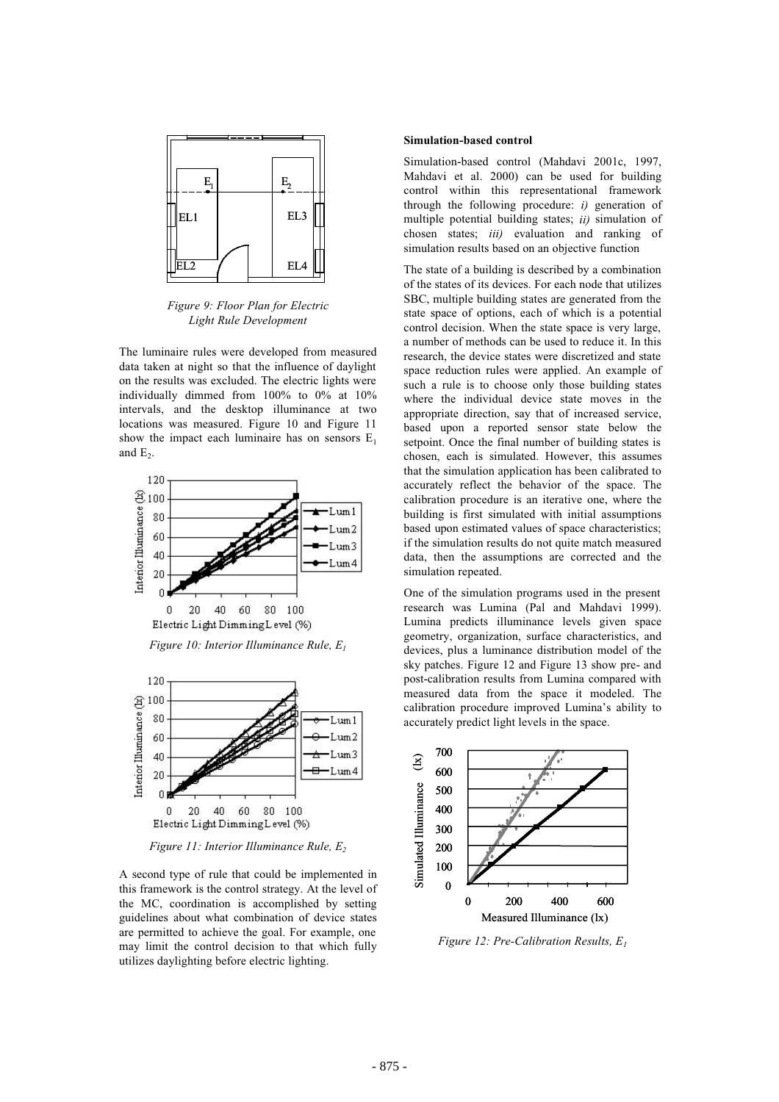

*Figure 9: Floor Plan for Electric Light Rule Development*

The luminaire rules were developed from measured data taken at night so that the influence of daylight on the results was excluded. The electric lights were individually dimmed from 100% to 0% at 10% intervals, and the desktop illuminance at two locations was measured. Figure 10 and Figure 11 show the impact each luminaire has on sensors  $E_1$ and  $E_2$ .



*Figure 10: Interior Illuminance Rule, E1*



*Figure 11: Interior Illuminance Rule, E2*

A second type of rule that could be implemented in this framework is the control strategy. At the level of the MC, coordination is accomplished by setting guidelines about what combination of device states are permitted to achieve the goal. For example, one may limit the control decision to that which fully utilizes daylighting before electric lighting.

### **Simulation-based control**

Simulation-based control (Mahdavi 2001c, 1997, Mahdavi et al. 2000) can be used for building control within this representational framework through the following procedure: *i)* generation of multiple potential building states; *ii)* simulation of chosen states; *iii)* evaluation and ranking of simulation results based on an objective function

The state of a building is described by a combination of the states of its devices. For each node that utilizes SBC, multiple building states are generated from the state space of options, each of which is a potential control decision. When the state space is very large, a number of methods can be used to reduce it. In this research, the device states were discretized and state space reduction rules were applied. An example of such a rule is to choose only those building states where the individual device state moves in the appropriate direction, say that of increased service, based upon a reported sensor state below the setpoint. Once the final number of building states is chosen, each is simulated. However, this assumes that the simulation application has been calibrated to accurately reflect the behavior of the space. The calibration procedure is an iterative one, where the building is first simulated with initial assumptions based upon estimated values of space characteristics; if the simulation results do not quite match measured data, then the assumptions are corrected and the simulation repeated.

One of the simulation programs used in the present research was Lumina (Pal and Mahdavi 1999). Lumina predicts illuminance levels given space geometry, organization, surface characteristics, and devices, plus a luminance distribution model of the sky patches. Figure 12 and Figure 13 show pre- and post-calibration results from Lumina compared with measured data from the space it modeled. The calibration procedure improved Lumina's ability to accurately predict light levels in the space.



*Figure 12: Pre-Calibration Results, E1*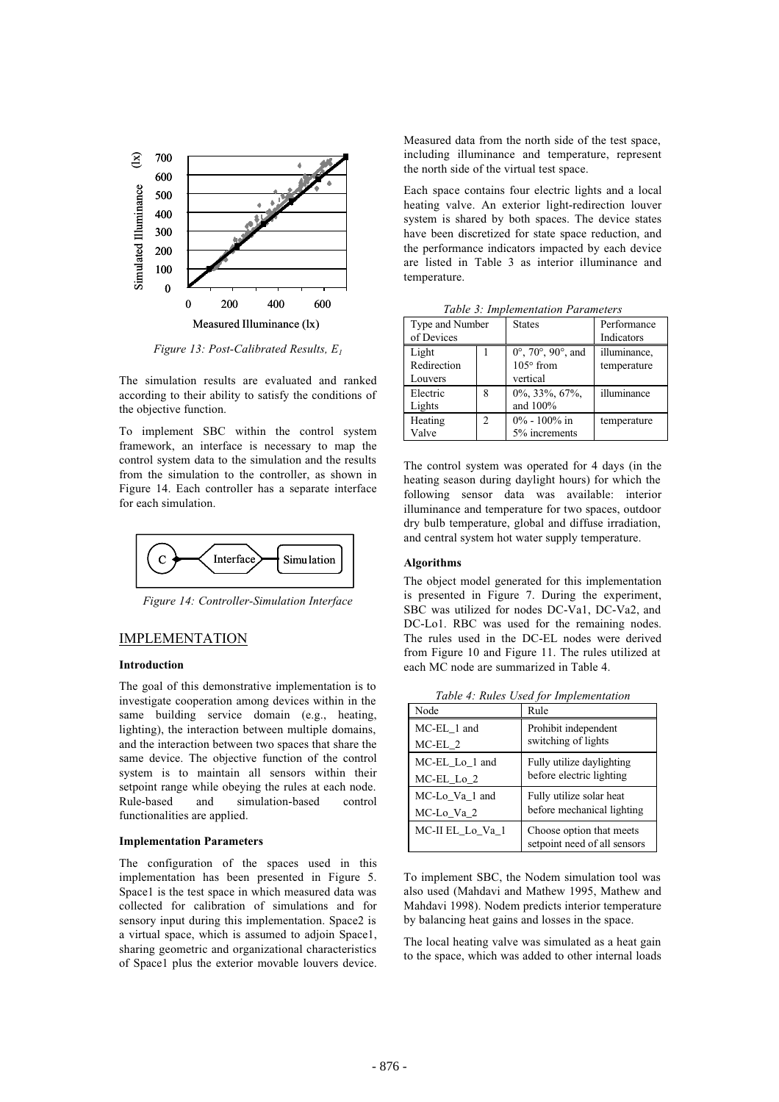

*Figure 13: Post-Calibrated Results, E1*

The simulation results are evaluated and ranked according to their ability to satisfy the conditions of the objective function.

To implement SBC within the control system framework, an interface is necessary to map the control system data to the simulation and the results from the simulation to the controller, as shown in Figure 14. Each controller has a separate interface for each simulation.



*Figure 14: Controller-Simulation Interface*

## IMPLEMENTATION

## **Introduction**

The goal of this demonstrative implementation is to investigate cooperation among devices within in the same building service domain (e.g., heating, lighting), the interaction between multiple domains, and the interaction between two spaces that share the same device. The objective function of the control system is to maintain all sensors within their setpoint range while obeying the rules at each node. Rule-based and simulation-based control functionalities are applied.

### **Implementation Parameters**

The configuration of the spaces used in this implementation has been presented in Figure 5. Space1 is the test space in which measured data was collected for calibration of simulations and for sensory input during this implementation. Space2 is a virtual space, which is assumed to adjoin Space1, sharing geometric and organizational characteristics of Space1 plus the exterior movable louvers device.

Measured data from the north side of the test space, including illuminance and temperature, represent the north side of the virtual test space.

Each space contains four electric lights and a local heating valve. An exterior light-redirection louver system is shared by both spaces. The device states have been discretized for state space reduction, and the performance indicators impacted by each device are listed in Table 3 as interior illuminance and temperature.

| Table 5. Implementation Farameters |                |                                                                                   |                             |  |
|------------------------------------|----------------|-----------------------------------------------------------------------------------|-----------------------------|--|
| Type and Number<br>of Devices      |                | <b>States</b>                                                                     | Performance<br>Indicators   |  |
| Light<br>Redirection<br>Louvers    |                | $0^{\circ}$ , 70 $^{\circ}$ , 90 $^{\circ}$ , and<br>$105^\circ$ from<br>vertical | illuminance,<br>temperature |  |
| Electric<br>Lights                 | 8              | $0\%$ , 33%, 67%,<br>and 100%                                                     | illuminance                 |  |
| Heating<br>Valve                   | $\overline{c}$ | $0\% - 100\%$ in<br>5% increments                                                 | temperature                 |  |

*Table 3: Implementation Parameters*

The control system was operated for 4 days (in the heating season during daylight hours) for which the following sensor data was available: interior illuminance and temperature for two spaces, outdoor dry bulb temperature, global and diffuse irradiation, and central system hot water supply temperature.

# **Algorithms**

The object model generated for this implementation is presented in Figure 7. During the experiment, SBC was utilized for nodes DC-Va1, DC-Va2, and DC-Lo1. RBC was used for the remaining nodes. The rules used in the DC-EL nodes were derived from Figure 10 and Figure 11. The rules utilized at each MC node are summarized in Table 4.

*Table 4: Rules Used for Implementation*

| Node             | Rule                                                     |
|------------------|----------------------------------------------------------|
| MC-EL_1 and      | Prohibit independent<br>switching of lights              |
| $MC-EL_2$        |                                                          |
| MC-EL_Lo_1 and   | Fully utilize daylighting                                |
| MC-EL_Lo_2       | before electric lighting                                 |
| MC-Lo_Va_1 and   | Fully utilize solar heat                                 |
| MC-Lo_Va_2       | before mechanical lighting                               |
| MC-II EL_Lo_Va_1 | Choose option that meets<br>setpoint need of all sensors |

To implement SBC, the Nodem simulation tool was also used (Mahdavi and Mathew 1995, Mathew and Mahdavi 1998). Nodem predicts interior temperature by balancing heat gains and losses in the space.

The local heating valve was simulated as a heat gain to the space, which was added to other internal loads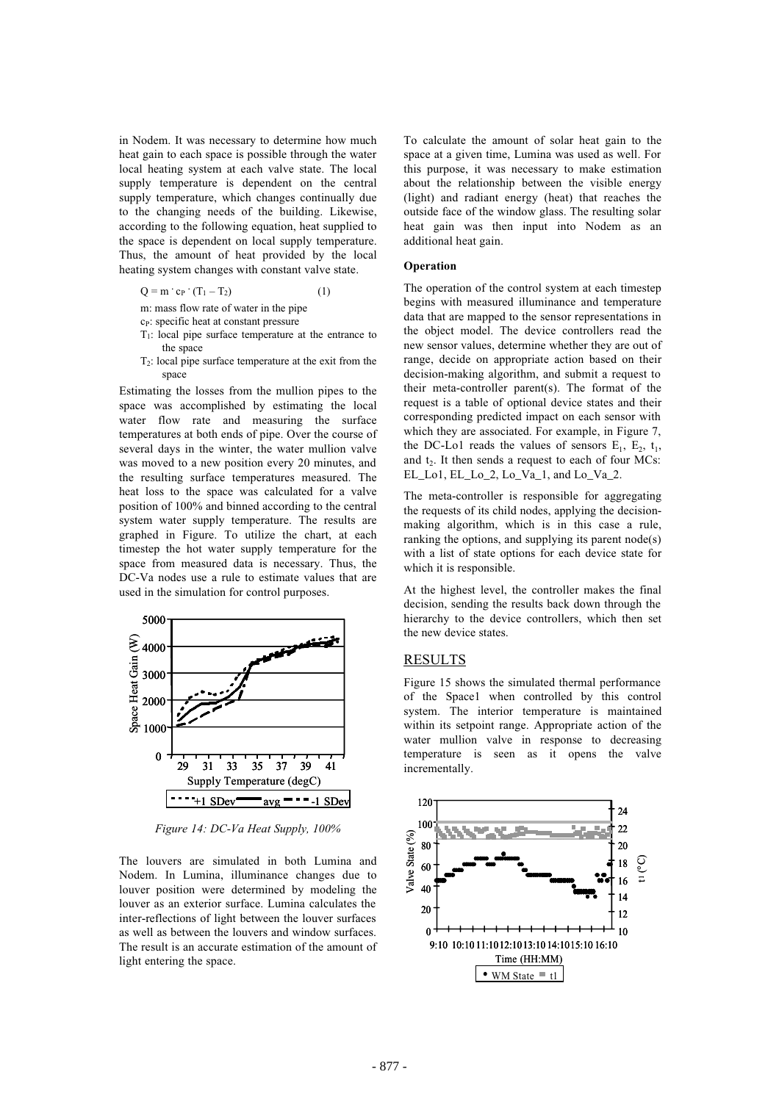in Nodem. It was necessary to determine how much heat gain to each space is possible through the water local heating system at each valve state. The local supply temperature is dependent on the central supply temperature, which changes continually due to the changing needs of the building. Likewise, according to the following equation, heat supplied to the space is dependent on local supply temperature. Thus, the amount of heat provided by the local heating system changes with constant valve state.

$$
Q = m \cdot c_P \cdot (T_1 - T_2) \tag{1}
$$

m: mass flow rate of water in the pipe

- c<sub>P</sub>: specific heat at constant pressure
- $T_1$ : local pipe surface temperature at the entrance to the space
- $T<sub>2</sub>$ : local pipe surface temperature at the exit from the space

Estimating the losses from the mullion pipes to the space was accomplished by estimating the local water flow rate and measuring the surface temperatures at both ends of pipe. Over the course of several days in the winter, the water mullion valve was moved to a new position every 20 minutes, and the resulting surface temperatures measured. The heat loss to the space was calculated for a valve position of 100% and binned according to the central system water supply temperature. The results are graphed in Figure. To utilize the chart, at each timestep the hot water supply temperature for the space from measured data is necessary. Thus, the DC-Va nodes use a rule to estimate values that are used in the simulation for control purposes.



*Figure 14: DC-Va Heat Supply, 100%*

The louvers are simulated in both Lumina and Nodem. In Lumina, illuminance changes due to louver position were determined by modeling the louver as an exterior surface. Lumina calculates the inter-reflections of light between the louver surfaces as well as between the louvers and window surfaces. The result is an accurate estimation of the amount of light entering the space.

To calculate the amount of solar heat gain to the space at a given time, Lumina was used as well. For this purpose, it was necessary to make estimation about the relationship between the visible energy (light) and radiant energy (heat) that reaches the outside face of the window glass. The resulting solar heat gain was then input into Nodem as an additional heat gain.

### **Operation**

The operation of the control system at each timestep begins with measured illuminance and temperature data that are mapped to the sensor representations in the object model. The device controllers read the new sensor values, determine whether they are out of range, decide on appropriate action based on their decision-making algorithm, and submit a request to their meta-controller parent(s). The format of the request is a table of optional device states and their corresponding predicted impact on each sensor with which they are associated. For example, in Figure 7, the DC-Lo1 reads the values of sensors  $E_1$ ,  $E_2$ ,  $t_1$ , and  $t<sub>2</sub>$ . It then sends a request to each of four MCs: EL Lo1, EL Lo 2, Lo Va 1, and Lo Va 2.

The meta-controller is responsible for aggregating the requests of its child nodes, applying the decisionmaking algorithm, which is in this case a rule, ranking the options, and supplying its parent node(s) with a list of state options for each device state for which it is responsible.

At the highest level, the controller makes the final decision, sending the results back down through the hierarchy to the device controllers, which then set the new device states.

### RESULTS

Figure 15 shows the simulated thermal performance of the Space1 when controlled by this control system. The interior temperature is maintained within its setpoint range. Appropriate action of the water mullion valve in response to decreasing temperature is seen as it opens the valve